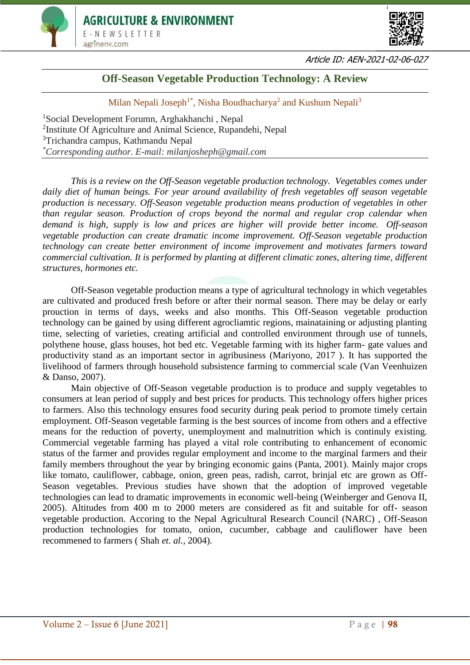



Article ID: AEN-2021-02-06-027

# **Off-Season Vegetable Production Technology: A Review**

# Milan Nepali Joseph<sup>1\*</sup>, Nisha Boudhacharya<sup>2</sup> and Kushum Nepali<sup>3</sup>

<sup>1</sup>Social Development Forumn, Arghakhanchi , Nepal <sup>2</sup>Institute Of Agriculture and Animal Science, Rupandehi, Nepal <sup>3</sup>Trichandra campus, Kathmandu Nepal *\*Corresponding author. E-mail: milanjosheph@gmail.com*

*This is a review on the Off-Season vegetable production technology. Vegetables comes under daily diet of human beings. For year around availability of fresh vegetables off season vegetable production is necessary. Off-Season vegetable production means production of vegetables in other than regular season. Production of crops beyond the normal and regular crop calendar when demand is high, supply is low and prices are higher will provide better income. Off-season vegetable production can create dramatic income improvement. Off-Season vegetable production technology can create better environment of income improvement and motivates farmers toward commercial cultivation. It is performed by planting at different climatic zones, altering time, different structures, hormones etc.*

Off-Season vegetable production means a type of agricultural technology in which vegetables are cultivated and produced fresh before or after their normal season. There may be delay or early prouction in terms of days, weeks and also months. This Off-Season vegetable production technology can be gained by using different agrocliamtic regions, mainataining or adjusting planting time, selecting of varieties, creating artificial and controlled environment through use of tunnels, polythene house, glass houses, hot bed etc. Vegetable farming with its higher farm- gate values and productivity stand as an important sector in agribusiness (Mariyono, 2017 ). It has supported the livelihood of farmers through household subsistence farming to commercial scale (Van Veenhuizen & Danso, 2007).

Main objective of Off-Season vegetable production is to produce and supply vegetables to consumers at lean period of supply and best prices for products. This technology offers higher prices to farmers. Also this technology ensures food security during peak period to promote timely certain employment. Off-Season vegetable farming is the best sources of income from others and a effective means for the reduction of poverty, unemployment and malnutrition which is continuly existing. Commercial vegetable farming has played a vital role contributing to enhancement of economic status of the farmer and provides regular employment and income to the marginal farmers and their family members throughout the year by bringing economic gains (Panta, 2001). Mainly major crops like tomato, cauliflower, cabbage, onion, green peas, radish, carrot, brinjal etc are grown as Off-Season vegetables. Previous studies have shown that the adoption of improved vegetable technologies can lead to dramatic improvements in economic well-being (Weinberger and Genova II, 2005). Altitudes from 400 m to 2000 meters are considered as fit and suitable for off- season vegetable production. Accoring to the Nepal Agricultural Research Council (NARC) , Off-Season production technologies for tomato, onion, cucumber, cabbage and cauliflower have been recommened to farmers ( Shah *et. al.,* 2004).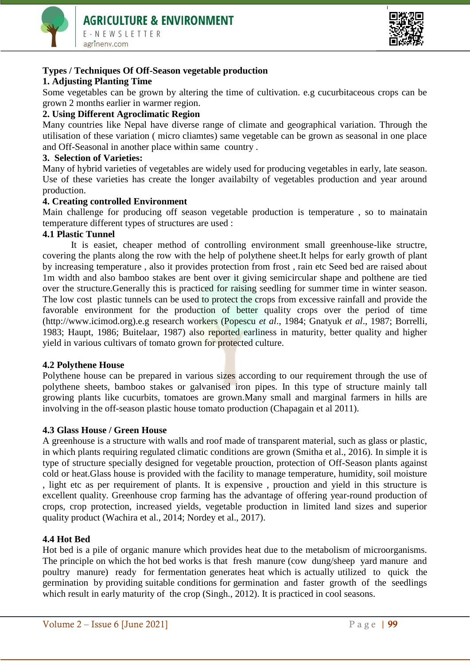



# **Types / Techniques Of Off-Season vegetable production**

# **1. Adjusting Planting Time**

Some vegetables can be grown by altering the time of cultivation. e.g cucurbitaceous crops can be grown 2 months earlier in warmer region.

# **2. Using Different Agroclimatic Region**

Many countries like Nepal have diverse range of climate and geographical variation. Through the utilisation of these variation ( micro cliamtes) same vegetable can be grown as seasonal in one place and Off-Seasonal in another place within same country .

# **3. Selection of Varieties:**

Many of hybrid varieties of vegetables are widely used for producing vegetables in early, late season. Use of these varieties has create the longer availabilty of vegetables production and year around production.

# **4. Creating controlled Environment**

Main challenge for producing off season vegetable production is temperature , so to mainatain temperature different types of structures are used :

#### **4.1 Plastic Tunnel**

It is easiet, cheaper method of controlling environment small greenhouse-like structre, covering the plants along the row with the help of polythene sheet.It helps for early growth of plant by increasing temperature , also it provides protection from frost , rain etc Seed bed are raised about 1m width and also bamboo stakes are bent over it giving semicircular shape and polthene are tied over the structure.Generally this is practiced for raising seedling for summer time in winter season. The low cost plastic tunnels can be used to protect the crops from excessive rainfall and provide the favorable environment for the production of better quality crops over the period of time (http://www.icimod.org).e.g research workers (Popescu *et al*., 1984; Gnatyuk *et al*., 1987; Borrelli, 1983; Haupt, 1986; Buitelaar, 1987) also reported earliness in maturity, better quality and higher yield in various cultivars of tomato grown for protected culture.

# **4.2 Polythene House**

Polythene house can be prepared in various sizes according to our requirement through the use of polythene sheets, bamboo stakes or galvanised iron pipes. In this type of structure mainly tall growing plants like cucurbits, tomatoes are grown.Many small and marginal farmers in hills are involving in the off-season plastic house tomato production (Chapagain et al 2011).

# **4.3 Glass House / Green House**

A greenhouse is a structure with walls and roof made of transparent material, such as glass or plastic, in which plants requiring regulated climatic conditions are grown (Smitha et al., 2016). In simple it is type of structure specially designed for vegetable prouction, protection of Off-Season plants against cold or heat.Glass house is provided with the facility to manage temperature, humidity, soil moisture , light etc as per requirement of plants. It is expensive , prouction and yield in this structure is excellent quality. Greenhouse crop farming has the advantage of offering year-round production of crops, crop protection, increased yields, vegetable production in limited land sizes and superior quality product (Wachira et al., 2014; Nordey et al., 2017).

# **4.4 Hot Bed**

Hot bed is a pile of organic manure which provides heat due to the metabolism of microorganisms. The principle on which the hot bed works is that fresh manure (cow dung/sheep yard manure and poultry manure) ready for fermentation generates heat which is actually utilized to quick the germination by providing suitable conditions for germination and faster growth of the seedlings which result in early maturity of the crop (Singh., 2012). It is practiced in cool seasons.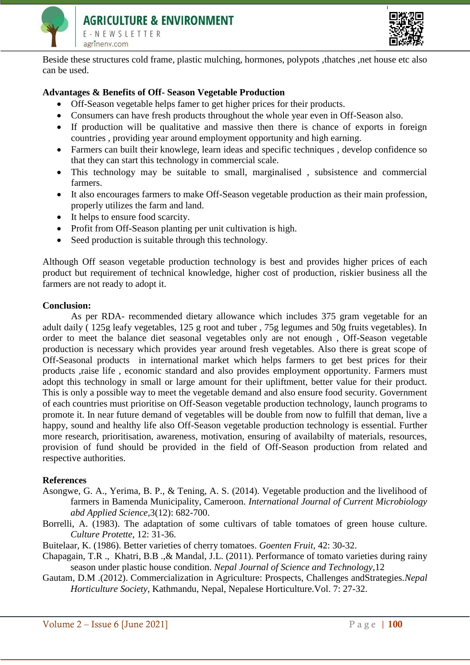



Beside these structures cold frame, plastic mulching, hormones, polypots ,thatches ,net house etc also can be used.

# **Advantages & Benefits of Off- Season Vegetable Production**

- Off-Season vegetable helps famer to get higher prices for their products.
- Consumers can have fresh products throughout the whole year even in Off-Season also.
- If production will be qualitative and massive then there is chance of exports in foreign countries , providing year around employment opportunity and high earning.
- Farmers can built their knowlege, learn ideas and specific techniques , develop confidence so that they can start this technology in commercial scale.
- This technology may be suitable to small, marginalised , subsistence and commercial farmers.
- It also encourages farmers to make Off-Season vegetable production as their main profession, properly utilizes the farm and land.
- It helps to ensure food scarcity.
- Profit from Off-Season planting per unit cultivation is high.
- Seed production is suitable through this technology.

Although Off season vegetable production technology is best and provides higher prices of each product but requirement of technical knowledge, higher cost of production, riskier business all the farmers are not ready to adopt it.

#### **Conclusion:**

As per RDA- recommended dietary allowance which includes 375 gram vegetable for an adult daily ( 125g leafy vegetables, 125 g root and tuber , 75g legumes and 50g fruits vegetables). In order to meet the balance diet seasonal vegetables only are not enough , Off-Season vegetable production is necessary which provides year around fresh vegetables. Also there is great scope of Off-Seasonal products in international market which helps farmers to get best prices for their products ,raise life , economic standard and also provides employment opportunity. Farmers must adopt this technology in small or large amount for their upliftment, better value for their product. This is only a possible way to meet the vegetable demand and also ensure food security. Government of each countries must prioritise on Off-Season vegetable production technology, launch programs to promote it. In near future demand of vegetables will be double from now to fulfill that deman, live a happy, sound and healthy life also Off-Season vegetable production technology is essential. Further more research, prioritisation, awareness, motivation, ensuring of availabilty of materials, resources, provision of fund should be provided in the field of Off-Season production from related and respective authorities.

# **References**

- Asongwe, G. A., Yerima, B. P., & Tening, A. S. (2014). Vegetable production and the livelihood of farmers in Bamenda Municipality, Cameroon. *International Journal of Current Microbiology abd Applied Science,*3(12): 682-700.
- Borrelli, A. (1983). The adaptation of some cultivars of table tomatoes of green house culture. *Culture Protette*, 12: 31-36.
- Buitelaar, K. (1986). Better varieties of cherry tomatoes. *Goenten Fruit*, 42: 30-32.
- Chapagain, T.R ., Khatri, B.B .,& Mandal, J.L. (2011). Performance of tomato varieties during rainy season under plastic house condition. *Nepal Journal of Science and Technology*,12
- Gautam, D.M .(2012). Commercialization in Agriculture: Prospects, Challenges andStrategies.*Nepal Horticulture Society*, Kathmandu, Nepal, Nepalese Horticulture.Vol. 7: 27-32.